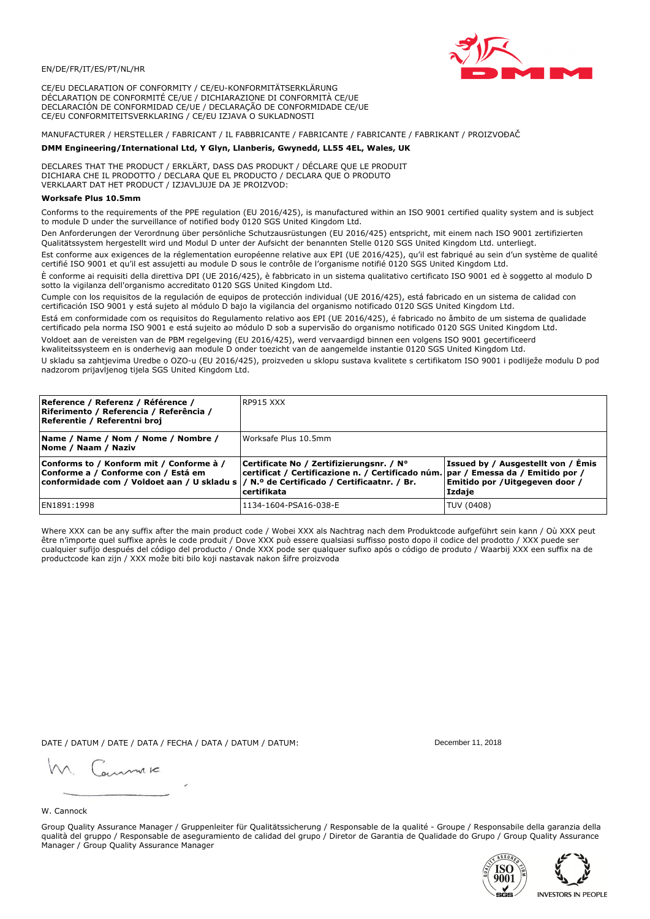

CE/EU DECLARATION OF CONFORMITY / CE/EU-KONFORMITÄTSERKLÄRUNG DÉCLARATION DE CONFORMITÉ CE/UE / DICHIARAZIONE DI CONFORMITÀ CE/UE DECLARACIÓN DE CONFORMIDAD CE/UE / DECLARAÇÃO DE CONFORMIDADE CE/UE CE/EU CONFORMITEITSVERKLARING / CE/EU IZJAVA O SUKLADNOSTI

# MANUFACTURER / HERSTELLER / FABRICANT / IL FABBRICANTE / FABRICANTE / FABRICANTE / FABRIKANT / PROIZVOĐAČ

### DMM Engineering/International Ltd, Y Glyn, Llanberis, Gwynedd, LL55 4EL, Wales, UK

DECLARES THAT THE PRODUCT / ERKLÄRT, DASS DAS PRODUKT / DÉCLARE QUE LE PRODUIT<br>DICHIARA CHE IL PRODOTTO / DECLARA QUE EL PRODUCTO / DECLARA QUE O PRODUTO VERKLAART DAT HET PRODUCT / IZJAVLJUJE DA JE PROIZVOD:

## **Worksafe Plus 10.5mm**

Conforms to the requirements of the PPE regulation (EU 2016/425), is manufactured within an ISO 9001 certified quality system and is subject to module D under the surveillance of notified body 0120 SGS United Kingdom Ltd.

Den Anforderungen der Verordnung über persönliche Schutzausrüstungen (EU 2016/425) entspricht, mit einem nach ISO 9001 zertifizierten Qualitätssystem hergestellt wird und Modul D unter der Aufsicht der benannten Stelle 0120 SGS United Kingdom Ltd. unterliegt.

Est conforme aux exigences de la réglementation européenne relative aux EPI (UE 2016/425), qu'il est fabriqué au sein d'un système de qualité certifié ISO 9001 et qu'il est assujetti au module D sous le contrôle de l'organisme notifié 0120 SGS United Kingdom Ltd.

È conforme ai requisiti della direttiva DPI (UE 2016/425), è fabbricato in un sistema qualitativo certificato ISO 9001 ed è soggetto al modulo D sotto la vigilanza dell'organismo accreditato 0120 SGS United Kingdom Ltd.

Cumple con los requisitos de la regulación de equipos de protección individual (UE 2016/425), está fabricado en un sistema de calidad con certificación ISO 9001 y está sujeto al módulo D bajo la vigilancia del organismo notificado 0120 SGS United Kingdom Ltd.

Está em conformidade com os requisitos do Regulamento relativo aos EPI (UE 2016/425), é fabricado no âmbito de um sistema de qualidade certificado pela norma ISO 9001 e está sujeito ao módulo D sob a supervisão do organismo notificado 0120 SGS United Kingdom Ltd. Voldoet aan de vereisten van de PBM regelgeving (EU 2016/425), werd vervaardigd binnen een volgens ISO 9001 gecertificeerd

kwaliteitssysteem en is onderhevig aan module D onder toezicht van de aangemelde instantie 0120 SGS United Kingdom Ltd.

U skladu sa zahtjevima Uredbe o OZO-u (EU 2016/425), proizveden u sklopu sustava kvalitete s certifikatom ISO 9001 i podliježe modulu D pod nadzorom prijavljenog tijela SGS United Kingdom Ltd.

| Reference / Referenz / Référence /<br>Riferimento / Referencia / Referência /<br>Referentie / Referentni broj                                                               | RP915 XXX                                                                                                                                    |                                                                                 |
|-----------------------------------------------------------------------------------------------------------------------------------------------------------------------------|----------------------------------------------------------------------------------------------------------------------------------------------|---------------------------------------------------------------------------------|
| Name / Name / Nom / Nome / Nombre /<br>Nome / Naam / Naziv                                                                                                                  | Worksafe Plus 10.5mm                                                                                                                         |                                                                                 |
| Conforms to / Konform mit / Conforme à /<br>Conforme a / Conforme con / Está em<br>conformidade com / Voldoet aan / U skladu s  / N.º de Certificado / Certificaatnr. / Br. | Certificate No / Zertifizierungsnr. / N°<br>certificat / Certificazione n. / Certificado núm. par / Emessa da / Emitido por /<br>certifikata | Issued by / Ausgestellt von / Émis<br>Emitido por / Uitgegeven door /<br>Izdaje |
| EN1891:1998                                                                                                                                                                 | 1134-1604-PSA16-038-E                                                                                                                        | TUV (0408)                                                                      |

Where XXX can be any suffix after the main product code / Wobei XXX als Nachtrag nach dem Produktcode aufgeführt sein kann / Où XXX peut etre n'importe quel suffixe après le code produit / Dove XXX può essere qualsiasi suffisso posto dopo il codice del prodotto / XXX puede ser<br>cualquier sufijo después del código del producto / Onde XXX pode ser qualquer suf productcode kan zijn / XXX može biti bilo koji nastavak nakon šifre proizvoda

DATE / DATUM / DATE / DATA / FECHA / DATA / DATUM / DATUM:

gimmic

December 11, 2018



Group Quality Assurance Manager / Gruppenleiter für Qualitätssicherung / Responsable de la qualité - Groupe / Responsabile della garanzia della qualità del gruppo / Responsable de aseguramiento de calidad del grupo / Diretor de Garantia de Qualidade do Grupo / Group Quality Assurance Manager / Group Quality Assurance Manager



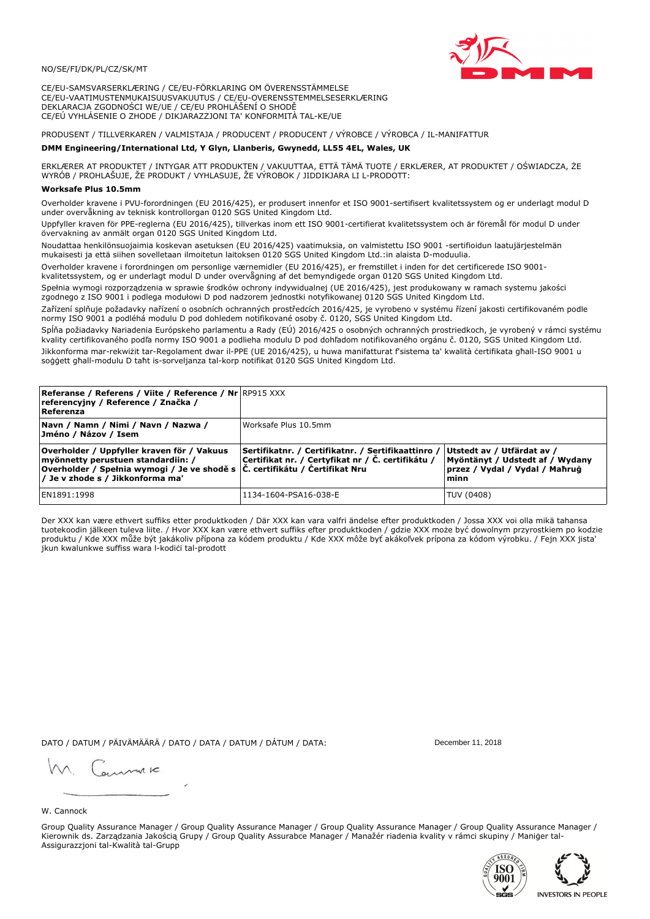

CE/EU-SAMSVARSERKLÆRING / CE/EU-FÖRKLARING OM ÖVERENSSTÄMMELSE CE/EU-VAATIMUSTENMUKAISUUSVAKUUTUS / CE/EU-OVERENSSTEMMELSESERKLÆRING DEKLARACJA ZGODNOŚCI WE/UE / CE/EU PROHLÁŠENÍ O SHODĚ CE/EÚ VYHLÁSENIE O ZHODE / DIKJARAZZJONI TA' KONFORMITÀ TAL-KE/UE

PRODUSENT / TILLVERKAREN / VALMISTAJA / PRODUCENT / PRODUCENT / VÝROBCE / VÝROBCA / IL-MANIFATTUR

### DMM Engineering/International Ltd, Y Glyn, Llanberis, Gwynedd, LL55 4EL, Wales, UK

ERKLÆRER AT PRODUKTET / INTYGAR ATT PRODUKTEN / VAKUUTTAA, ETTÄ TÄMÄ TUOTE / ERKLÆRER, AT PRODUKTET / OŚWIADCZA, ŻE<br>WYRÓB / PROHLAŠUJE, ŽE PRODUKT / VYHLASUJE, ŽE VÝROBOK / JIDDIKJARA LI L-PRODOTT:

Overholder kravene i PVU-forordningen (EU 2016/425), er produsert innenfor et ISO 9001-sertifisert kvalitetssystem og er underlagt modul D<br>under overvåkning av teknisk kontrollorgan 0120 SGS United Kingdom Ltd.

Uppfyller kraven för PPE-reglerna (EU 2016/425), tillverkas inom ett ISO 9001-certifierat kvalitetssystem och är föremål för modul D under övervakning av anmält organ 0120 SGS United Kingdom Ltd.

Noudattaa henkilönsuojaimia koskevan asetuksen (EU 2016/425) vaatimuksia, on valmistettu ISO 9001 -sertifioidun laatujärjestelmän mukaisesti ja että siihen sovelletaan ilmoitetun laitoksen 0120 SGS United Kingdom Ltd.:in alaista D-moduulia.

Overholder kravene i forordningen om personlige værnemidler (EU 2016/425), er fremstillet i inden for det certificerede ISO 9001kvalitetssystem, og er underlagt modul D under overvågning af det bemyndigede organ 0120 SGS United Kingdom Ltd.

Spełnia wymogi rozporządzenia w sprawie środków ochrony indywidualnej (UE 2016/425), jest produkowany w ramach systemu jakości zgodnego z ISO 9001 i podlega modułowi D pod nadzorem jednostki notyfikowanej 0120 SGS United Kingdom Ltd.

Zařízení splňuje požadavky nařízení o osobních ochranných prostředcích 2016/425, je vyrobeno v systému řízení jakosti certifikovaném podle normy ISO 9001 a podléhá modulu D pod dohledem notifikované osoby č. 0120, SGS United Kingdom Ltd.

Spĺňa požiadavky Nariadenia Európskeho parlamentu a Rady (EÚ) 2016/425 o osobných ochranných prostriedkoch, je vyrobený v rámci systému kvality certifikovaného podľa normy ISO 9001 a podlieha modulu D pod dohľadom notifikovaného orgánu č. 0120, SGS Únited Kingdom Ltd. Jikkonforma mar-rekwiżit tar-Regolament dwar il-PPE (UE 2016/425), u huwa manifatturat f'sistema ta' kwalità certifikata għall-ISO 9001 u soggett ghall-modulu D taht is-sorveljanza tal-korp notifikat 0120 SGS United Kingdom Ltd.

| <b>Referanse / Referens / Viite / Reference / Nr</b> RP915 XXX<br>referencyjny / Reference / Značka /<br>Referenza                                                                                    |                                                                                                         |                                                                                                          |
|-------------------------------------------------------------------------------------------------------------------------------------------------------------------------------------------------------|---------------------------------------------------------------------------------------------------------|----------------------------------------------------------------------------------------------------------|
| Navn / Namn / Nimi / Navn / Nazwa /<br>Jméno / Názov / Isem                                                                                                                                           | Worksafe Plus 10.5mm                                                                                    |                                                                                                          |
| Overholder / Uppfyller kraven för / Vakuus<br>myönnetty perustuen standardiin: /<br> Overholder / Spełnia wymogi / Je ve shodě s  Č. certifikátu / Čertifikat Nru<br>/ Je v zhode s / Jikkonforma ma' | Sertifikatnr. / Certifikatnr. / Sertifikaattinro /<br>Certifikat nr. / Certyfikat nr / Č. certifikátu / | Utstedt av / Utfärdat av /<br>Myöntänyt / Udstedt af / Wydany<br> przez / Vvdal / Vvdal / Maħruġ<br>minn |
| EN1891:1998                                                                                                                                                                                           | 1134-1604-PSA16-038-E                                                                                   | TUV (0408)                                                                                               |

Der XXX kan være ethvert suffiks etter produktkoden / Där XXX kan vara valfri ändelse efter produktkoden / Jossa XXX voi olla mikä tahansa tuotekoodin jälkeen tuleva liite. / Hvor XXX kan være ethvert suffiks efter produktkoden / gdzie XXX może być dowolnym przyrostkiem po kodzie produktu / Kde XXX může být jakákoliv přípona za kódem produktu / Kde XXX môže byť akákoľvek prípona za kódom výrobku. / Fejn XXX jista jkun kwalunkwe suffiss wara l-kodici tal-prodott

DATO / DATUM / PÄIVÄMÄÄRÄ / DATO / DATA / DATUM / DÁTUM / DATA:

December 11, 2018

annuic

# W. Cannock

Group Quality Assurance Manager / Group Quality Assurance Manager / Group Quality Assurance Manager / Group Quality Assurance Manager / Kierownik ds. Zarządzania Jakością Grupy / Group Quality Assurabce Manager / Manažér riadenia kvality v rámci skupiny / Maniger tal-Assigurazzjoni tal-Kwalità tal-Grupp